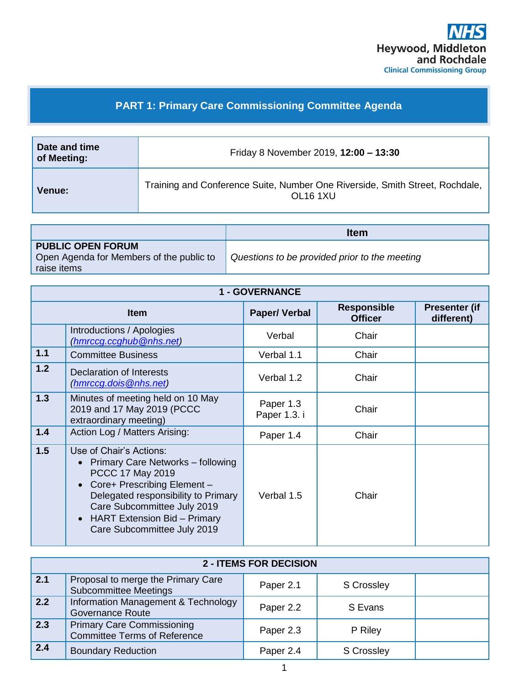

## **PART 1: Primary Care Commissioning Committee Agenda**

| Date and time<br>of Meeting: | Friday 8 November 2019, 12:00 - 13:30                                                                |  |  |
|------------------------------|------------------------------------------------------------------------------------------------------|--|--|
| Venue:                       | Training and Conference Suite, Number One Riverside, Smith Street, Rochdale,<br>OL <sub>16</sub> 1XU |  |  |

|                                                                      | <b>Item</b>                                   |
|----------------------------------------------------------------------|-----------------------------------------------|
| <b>PUBLIC OPEN FORUM</b><br>Open Agenda for Members of the public to | Questions to be provided prior to the meeting |
| raise items                                                          |                                               |

| <b>1 - GOVERNANCE</b> |                                                                                                                                                                                                                                                      |                           |                                      |                                    |
|-----------------------|------------------------------------------------------------------------------------------------------------------------------------------------------------------------------------------------------------------------------------------------------|---------------------------|--------------------------------------|------------------------------------|
| <b>Item</b>           |                                                                                                                                                                                                                                                      | <b>Paper/Verbal</b>       | <b>Responsible</b><br><b>Officer</b> | <b>Presenter (if</b><br>different) |
|                       | Introductions / Apologies<br>(hmrccg.ccghub@nhs.net)                                                                                                                                                                                                 | Verbal                    | Chair                                |                                    |
| 1.1                   | <b>Committee Business</b>                                                                                                                                                                                                                            | Verbal 1.1                | Chair                                |                                    |
| 1.2                   | <b>Declaration of Interests</b><br>(hmrccq.dois@nhs.net)                                                                                                                                                                                             | Verbal 1.2                | Chair                                |                                    |
| 1.3                   | Minutes of meeting held on 10 May<br>2019 and 17 May 2019 (PCCC<br>extraordinary meeting)                                                                                                                                                            | Paper 1.3<br>Paper 1.3. i | Chair                                |                                    |
| 1.4                   | Action Log / Matters Arising:                                                                                                                                                                                                                        | Paper 1.4                 | Chair                                |                                    |
| 1.5                   | Use of Chair's Actions:<br>Primary Care Networks - following<br>PCCC 17 May 2019<br>Core+ Prescribing Element -<br>Delegated responsibility to Primary<br>Care Subcommittee July 2019<br>HART Extension Bid - Primary<br>Care Subcommittee July 2019 | Verbal 1.5                | Chair                                |                                    |

| <b>2 - ITEMS FOR DECISION</b> |                                                                          |           |                   |  |
|-------------------------------|--------------------------------------------------------------------------|-----------|-------------------|--|
| $\sqrt{2.1}$                  | Proposal to merge the Primary Care<br><b>Subcommittee Meetings</b>       | Paper 2.1 | <b>S</b> Crossley |  |
| 2.2                           | Information Management & Technology<br><b>Governance Route</b>           | Paper 2.2 | S Evans           |  |
| 2.3                           | <b>Primary Care Commissioning</b><br><b>Committee Terms of Reference</b> | Paper 2.3 | P Riley           |  |
| 2.4                           | <b>Boundary Reduction</b>                                                | Paper 2.4 | <b>S</b> Crossley |  |